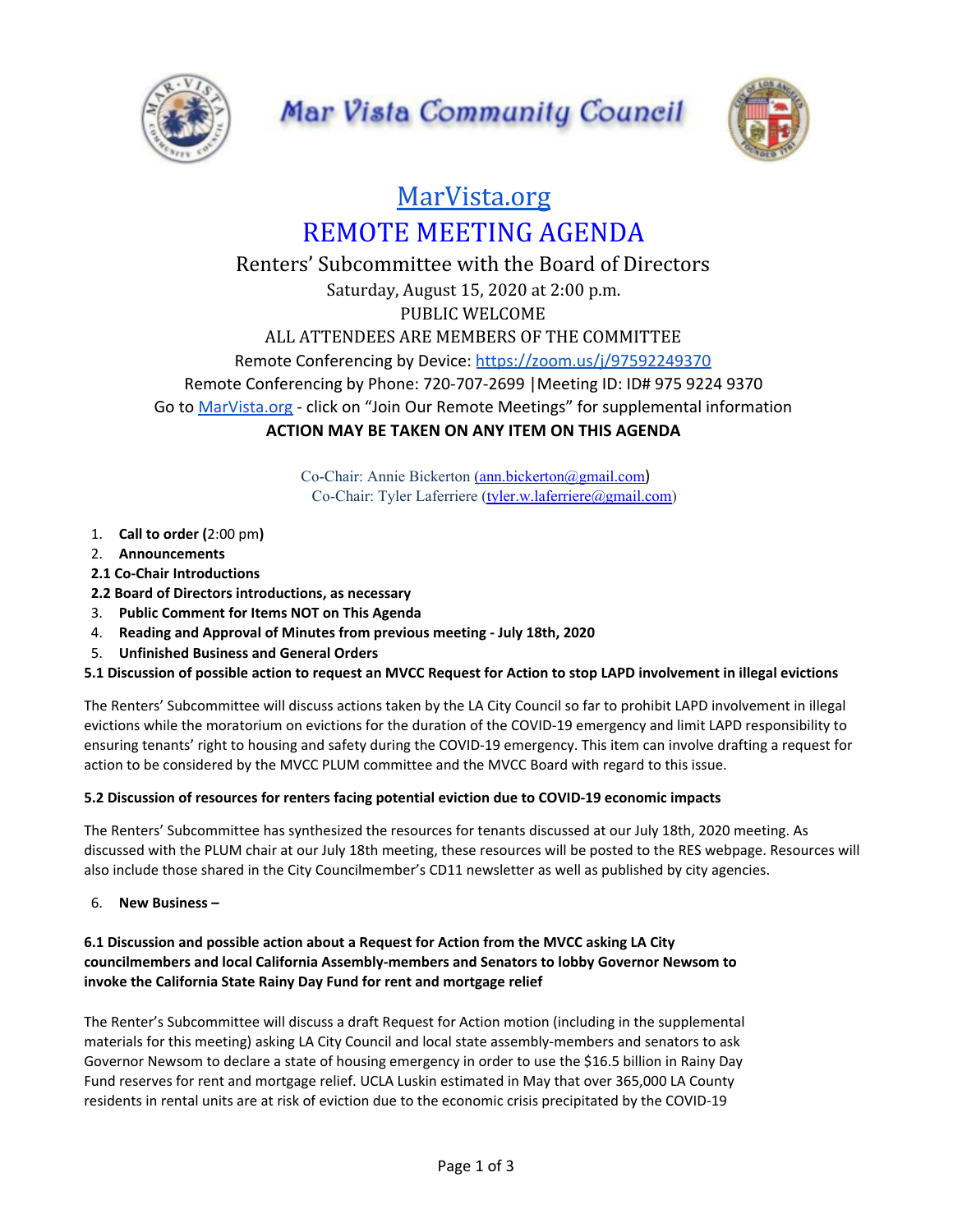



# [MarVista.org](https://www.marvista.org/) REMOTE MEETING AGENDA

# Renters' Subcommittee with the Board of Directors Saturday, August 15, 2020 at 2:00 p.m. PUBLIC WELCOME ALL ATTENDEES ARE MEMBERS OF THE COMMITTEE Remote Conferencing by Device: <https://zoom.us/j/97592249370> Remote Conferencing by Phone: 720-707-2699 |Meeting ID: ID# 975 9224 9370 Go to [MarVista.org](https://www.marvista.org/) - click on "Join Our Remote Meetings" for supplemental information **ACTION MAY BE TAKEN ON ANY ITEM ON THIS AGENDA**

Co-Chair: Annie Bickerton [\(ann.bickerton@gmail.com](mailto:ann.bickerton@gmail.com)) Co-Chair: Tyler Laferriere ([tyler.w.laferriere@gmail.com\)](mailto:tyler.w.laferriere@gmail.com)

- 1. **Call to order (**2:00 pm**)**
- 2. **Announcements**
- **2.1 Co-Chair Introductions**
- **2.2 Board of Directors introductions, as necessary**
- 3. **Public Comment for Items NOT on This Agenda**
- 4. **Reading and Approval of Minutes from previous meeting - July 18th, 2020**
- 5. **Unfinished Business and General Orders**

#### 5.1 Discussion of possible action to request an MVCC Request for Action to stop LAPD involvement in illegal evictions

The Renters' Subcommittee will discuss actions taken by the LA City Council so far to prohibit LAPD involvement in illegal evictions while the moratorium on evictions for the duration of the COVID-19 emergency and limit LAPD responsibility to ensuring tenants' right to housing and safety during the COVID-19 emergency. This item can involve drafting a request for action to be considered by the MVCC PLUM committee and the MVCC Board with regard to this issue.

#### **5.2 Discussion of resources for renters facing potential eviction due to COVID-19 economic impacts**

The Renters' Subcommittee has synthesized the resources for tenants discussed at our July 18th, 2020 meeting. As discussed with the PLUM chair at our July 18th meeting, these resources will be posted to the RES webpage. Resources will also include those shared in the City Councilmember's CD11 newsletter as well as published by city agencies.

6. **New Business –**

## **6.1 Discussion and possible action about a Request for Action from the MVCC asking LA City councilmembers and local California Assembly-members and Senators to lobby Governor Newsom to invoke the California State Rainy Day Fund for rent and mortgage relief**

The Renter's Subcommittee will discuss a draft Request for Action motion (including in the supplemental materials for this meeting) asking LA City Council and local state assembly-members and senators to ask Governor Newsom to declare a state of housing emergency in order to use the \$16.5 billion in Rainy Day Fund reserves for rent and mortgage relief. UCLA Luskin estimated in May that over 365,000 LA County residents in rental units are at risk of eviction due to the economic crisis precipitated by the COVID-19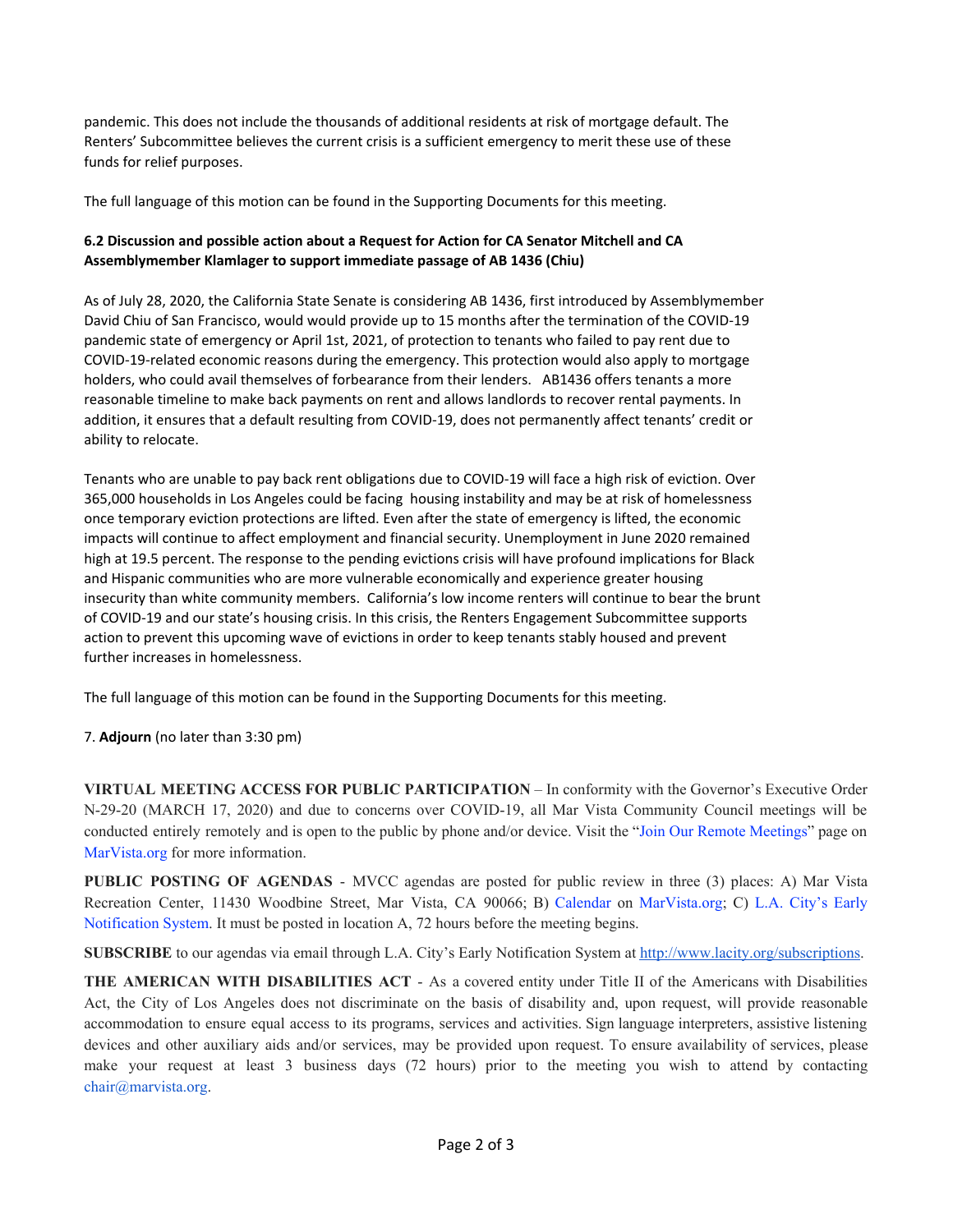pandemic. This does not include the thousands of additional residents at risk of mortgage default. The Renters' Subcommittee believes the current crisis is a sufficient emergency to merit these use of these funds for relief purposes.

The full language of this motion can be found in the Supporting Documents for this meeting.

## **6.2 Discussion and possible action about a Request for Action for CA Senator Mitchell and CA Assemblymember Klamlager to support immediate passage of AB 1436 (Chiu)**

As of July 28, 2020, the California State Senate is considering AB 1436, first introduced by Assemblymember David Chiu of San Francisco, would would provide up to 15 months after the termination of the COVID-19 pandemic state of emergency or April 1st, 2021, of protection to tenants who failed to pay rent due to COVID-19-related economic reasons during the emergency. This protection would also apply to mortgage holders, who could avail themselves of forbearance from their lenders. AB1436 offers tenants a more reasonable timeline to make back payments on rent and allows landlords to recover rental payments. In addition, it ensures that a default resulting from COVID-19, does not permanently affect tenants' credit or ability to relocate.

Tenants who are unable to pay back rent obligations due to COVID-19 will face a high risk of eviction. Over 365,000 households in Los Angeles could be facing housing instability and may be at risk of homelessness once temporary eviction protections are lifted. Even after the state of emergency is lifted, the economic impacts will continue to affect employment and financial security. Unemployment in June 2020 remained high at 19.5 percent. The response to the pending evictions crisis will have profound implications for Black and Hispanic communities who are more vulnerable economically and experience greater housing insecurity than white community members. California's low income renters will continue to bear the brunt of COVID-19 and our state's housing crisis. In this crisis, the Renters Engagement Subcommittee supports action to prevent this upcoming wave of evictions in order to keep tenants stably housed and prevent further increases in homelessness.

The full language of this motion can be found in the Supporting Documents for this meeting.

7. **Adjourn** (no later than 3:30 pm)

**VIRTUAL MEETING ACCESS FOR PUBLIC PARTICIPATION** – In conformity with the Governor's Executive Order N-29-20 (MARCH 17, 2020) and due to concerns over COVID-19, all Mar Vista Community Council meetings will be conducted entirely remotely and is open to the public by phone and/or device. Visit the "Join Our Remote Meetings" page on MarVista.org for more information.

**PUBLIC POSTING OF AGENDAS** - MVCC agendas are posted for public review in three (3) places: A) Mar Vista Recreation Center, 11430 Woodbine Street, Mar Vista, CA 90066; B) Calendar on MarVista.org; C) L.A. City's Early Notification System. It must be posted in location A, 72 hours before the meeting begins.

**SUBSCRIBE** to our agendas via email through L.A. City's Early Notification System at [http://www.lacity.org/subscriptions.](http://www.lacity.org/subscriptions)

**THE AMERICAN WITH DISABILITIES ACT** - As a covered entity under Title II of the Americans with Disabilities Act, the City of Los Angeles does not discriminate on the basis of disability and, upon request, will provide reasonable accommodation to ensure equal access to its programs, services and activities. Sign language interpreters, assistive listening devices and other auxiliary aids and/or services, may be provided upon request. To ensure availability of services, please make your request at least 3 business days (72 hours) prior to the meeting you wish to attend by contacting chair@marvista.org.